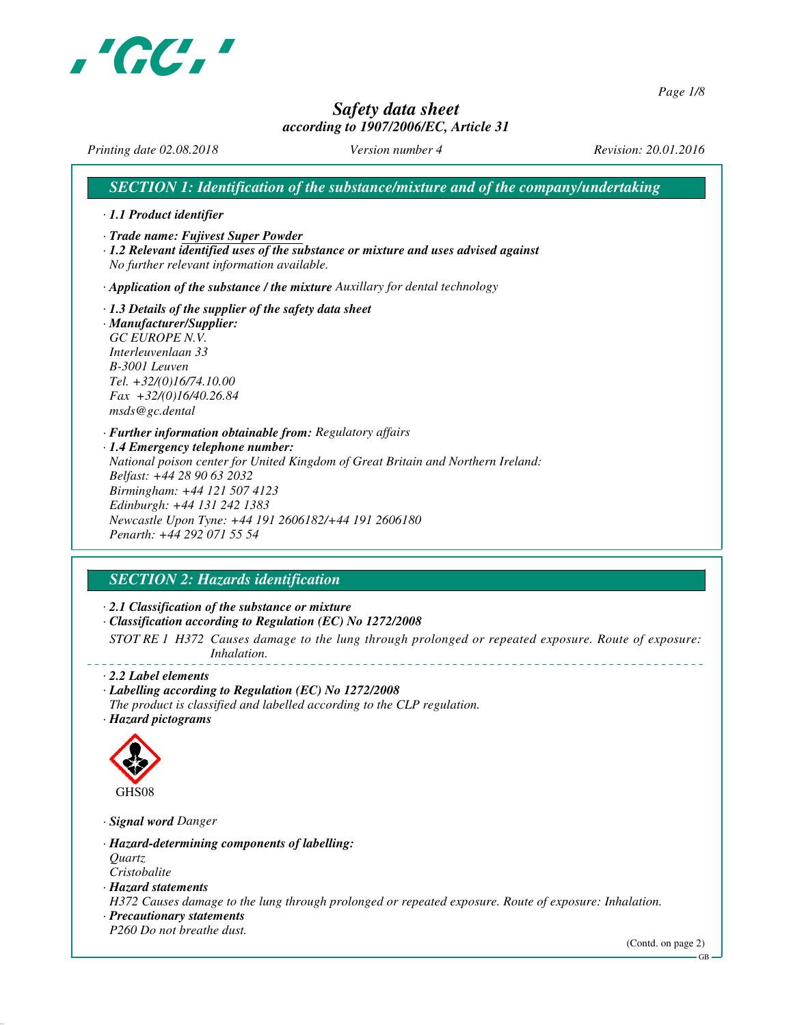

*Page 1/8*

# *Safety data sheet*

## *according to 1907/2006/EC, Article 31*

*Printing date 02.08.2018 Version number 4 Revision: 20.01.2016*

*SECTION 1: Identification of the substance/mixture and of the company/undertaking · 1.1 Product identifier · Trade name: Fujivest Super Powder · 1.2 Relevant identified uses of the substance or mixture and uses advised against No further relevant information available. · Application of the substance / the mixture Auxillary for dental technology · 1.3 Details of the supplier of the safety data sheet · Manufacturer/Supplier: GC EUROPE N.V. Interleuvenlaan 33 B-3001 Leuven Tel. +32/(0)16/74.10.00 Fax +32/(0)16/40.26.84 msds@gc.dental · Further information obtainable from: Regulatory affairs · 1.4 Emergency telephone number: National poison center for United Kingdom of Great Britain and Northern Ireland: Belfast: +44 28 90 63 2032 Birmingham: +44 121 507 4123 Edinburgh: +44 131 242 1383 Newcastle Upon Tyne: +44 191 2606182/+44 191 2606180 Penarth: +44 292 071 55 54*

# *SECTION 2: Hazards identification*

*· 2.1 Classification of the substance or mixture*

*· Classification according to Regulation (EC) No 1272/2008*

*STOT RE 1 H372 Causes damage to the lung through prolonged or repeated exposure. Route of exposure: Inhalation.*

*· 2.2 Label elements*

*· Labelling according to Regulation (EC) No 1272/2008*

*The product is classified and labelled according to the CLP regulation. · Hazard pictograms*



*· Signal word Danger*

*· Hazard-determining components of labelling: Quartz*

*Cristobalite*

*· Hazard statements*

*H372 Causes damage to the lung through prolonged or repeated exposure. Route of exposure: Inhalation.*

*· Precautionary statements*

*P260 Do not breathe dust.*

(Contd. on page 2)

GB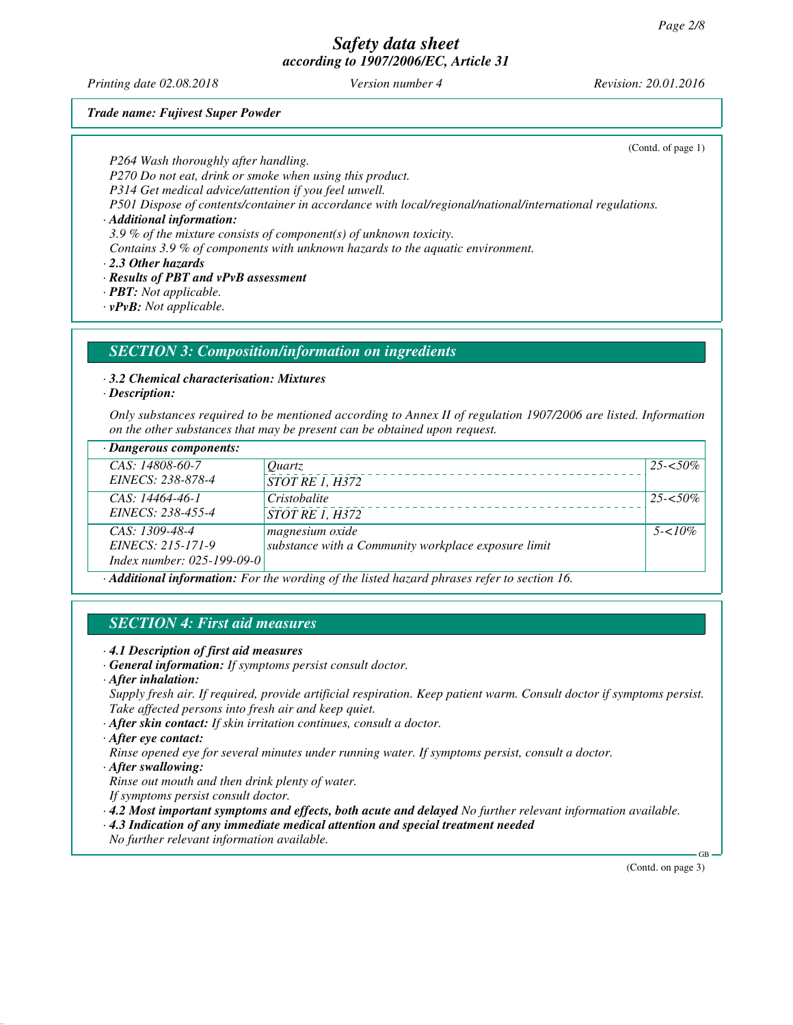*Printing date 02.08.2018 Version number 4 Revision: 20.01.2016*

(Contd. of page 1)

### *Trade name: Fujivest Super Powder*

*P264 Wash thoroughly after handling.*

*P270 Do not eat, drink or smoke when using this product.*

*P314 Get medical advice/attention if you feel unwell.*

*P501 Dispose of contents/container in accordance with local/regional/national/international regulations.*

*· Additional information:*

*3.9 % of the mixture consists of component(s) of unknown toxicity.*

*Contains 3.9 % of components with unknown hazards to the aquatic environment.*

*· 2.3 Other hazards*

*· Results of PBT and vPvB assessment*

*· PBT: Not applicable.*

*· vPvB: Not applicable.*

### *SECTION 3: Composition/information on ingredients*

### *· 3.2 Chemical characterisation: Mixtures*

*· Description:*

*Only substances required to be mentioned according to Annex II of regulation 1907/2006 are listed. Information on the other substances that may be present can be obtained upon request.*

| $\cdot$ Dangerous components:                                                               |                                                     |             |
|---------------------------------------------------------------------------------------------|-----------------------------------------------------|-------------|
| CAS: 14808-60-7                                                                             | <i>Ouartz</i>                                       | $25 - 50\%$ |
| EINECS: 238-878-4                                                                           | STOT RE 1, H372                                     |             |
| $CAS: 14464-46-1$                                                                           | Cristobalite                                        | $25 - 50\%$ |
| EINECS: 238-455-4                                                                           | <i>STOT RE 1, H372</i>                              |             |
| $CAS: 1309-48-4$                                                                            | magnesium oxide                                     | $5 - 10\%$  |
| EINECS: 215-171-9                                                                           | substance with a Community workplace exposure limit |             |
| Index number: 025-199-09-01                                                                 |                                                     |             |
| · Additional information: For the wording of the listed hazard phrases refer to section 16. |                                                     |             |

# *SECTION 4: First aid measures*

- *· 4.1 Description of first aid measures*
- *· General information: If symptoms persist consult doctor.*
- *· After inhalation:*

*Supply fresh air. If required, provide artificial respiration. Keep patient warm. Consult doctor if symptoms persist. Take affected persons into fresh air and keep quiet.*

*· After skin contact: If skin irritation continues, consult a doctor.*

*· After eye contact:*

*Rinse opened eye for several minutes under running water. If symptoms persist, consult a doctor.*

*· After swallowing:*

*Rinse out mouth and then drink plenty of water.*

*If symptoms persist consult doctor.*

*· 4.2 Most important symptoms and effects, both acute and delayed No further relevant information available.*

*· 4.3 Indication of any immediate medical attention and special treatment needed*

*No further relevant information available.*

(Contd. on page 3)

GB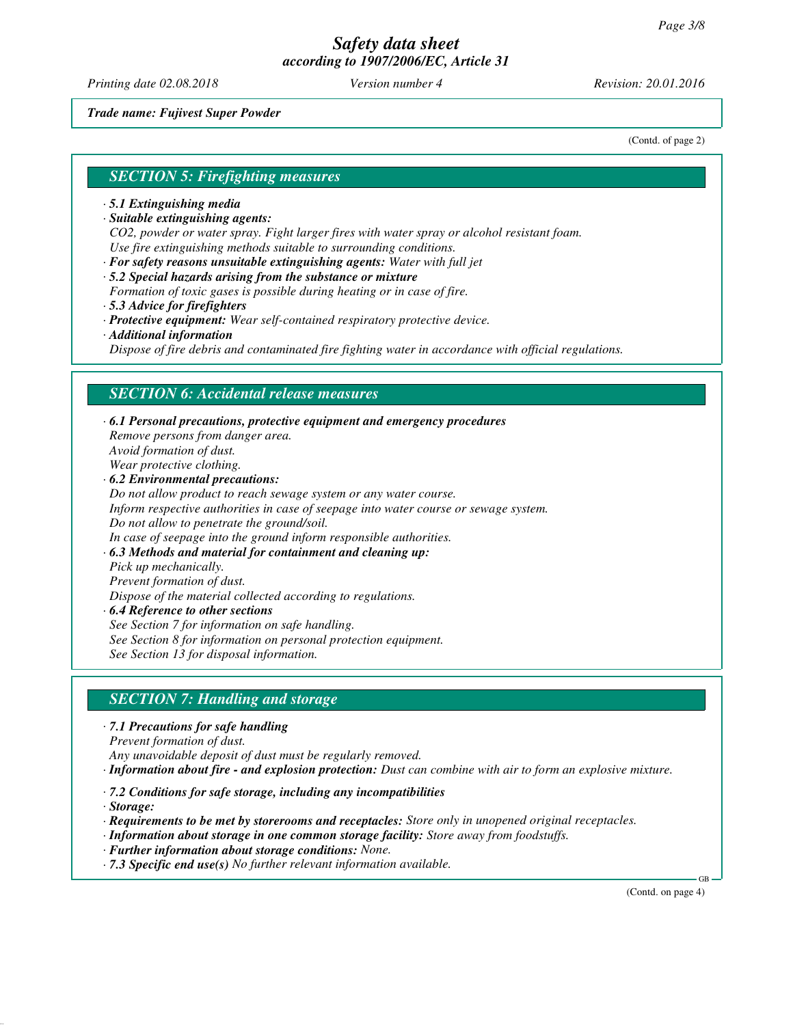*Printing date 02.08.2018 Version number 4 Revision: 20.01.2016*

*Trade name: Fujivest Super Powder*

(Contd. of page 2)

#### *SECTION 5: Firefighting measures*

- *· 5.1 Extinguishing media*
- *· Suitable extinguishing agents:*

*CO2, powder or water spray. Fight larger fires with water spray or alcohol resistant foam. Use fire extinguishing methods suitable to surrounding conditions.*

*· For safety reasons unsuitable extinguishing agents: Water with full jet*

*· 5.2 Special hazards arising from the substance or mixture*

- *Formation of toxic gases is possible during heating or in case of fire.*
- *· 5.3 Advice for firefighters*
- *· Protective equipment: Wear self-contained respiratory protective device.*
- *· Additional information*

*Dispose of fire debris and contaminated fire fighting water in accordance with official regulations.*

### *SECTION 6: Accidental release measures*

*· 6.1 Personal precautions, protective equipment and emergency procedures Remove persons from danger area. Avoid formation of dust. Wear protective clothing. · 6.2 Environmental precautions: Do not allow product to reach sewage system or any water course. Inform respective authorities in case of seepage into water course or sewage system. Do not allow to penetrate the ground/soil. In case of seepage into the ground inform responsible authorities. · 6.3 Methods and material for containment and cleaning up: Pick up mechanically. Prevent formation of dust. Dispose of the material collected according to regulations. · 6.4 Reference to other sections See Section 7 for information on safe handling. See Section 8 for information on personal protection equipment.*

*See Section 13 for disposal information.*

### *SECTION 7: Handling and storage*

*· 7.1 Precautions for safe handling*

*Prevent formation of dust.*

*Any unavoidable deposit of dust must be regularly removed.*

*· Information about fire - and explosion protection: Dust can combine with air to form an explosive mixture.*

- *· 7.2 Conditions for safe storage, including any incompatibilities*
- *· Storage:*
- *· Requirements to be met by storerooms and receptacles: Store only in unopened original receptacles.*
- *· Information about storage in one common storage facility: Store away from foodstuffs.*
- *· Further information about storage conditions: None.*
- *· 7.3 Specific end use(s) No further relevant information available.*

(Contd. on page 4)

GB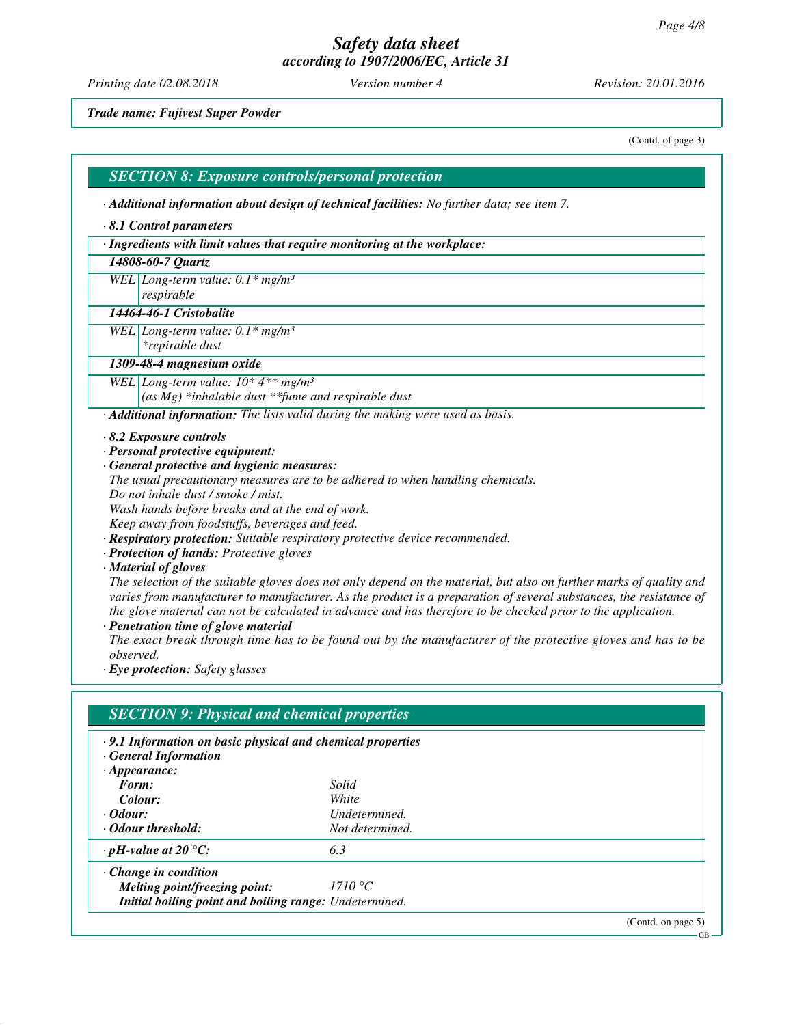*Printing date 02.08.2018 Version number 4 Revision: 20.01.2016*

*Trade name: Fujivest Super Powder*

(Contd. of page 3)

GB

#### *SECTION 8: Exposure controls/personal protection*

*· Additional information about design of technical facilities: No further data; see item 7.*

#### *· 8.1 Control parameters*

*· Ingredients with limit values that require monitoring at the workplace:*

#### *14808-60-7 Quartz*

*WEL Long-term value: 0.1\* mg/m³*

#### *respirable 14464-46-1 Cristobalite*

*WEL Long-term value: 0.1\* mg/m³*

*\*repirable dust*

#### *1309-48-4 magnesium oxide*

*WEL Long-term value: 10\* 4\*\* mg/m³*

*(as Mg) \*inhalable dust \*\*fume and respirable dust*

*· Additional information: The lists valid during the making were used as basis.*

#### *· 8.2 Exposure controls*

- *· Personal protective equipment:*
- *· General protective and hygienic measures:*
- *The usual precautionary measures are to be adhered to when handling chemicals.*
- *Do not inhale dust / smoke / mist.*

*Wash hands before breaks and at the end of work.*

*Keep away from foodstuffs, beverages and feed.*

- *· Respiratory protection: Suitable respiratory protective device recommended.*
- *· Protection of hands: Protective gloves*

*· Material of gloves*

*The selection of the suitable gloves does not only depend on the material, but also on further marks of quality and varies from manufacturer to manufacturer. As the product is a preparation of several substances, the resistance of the glove material can not be calculated in advance and has therefore to be checked prior to the application.*

*· Penetration time of glove material*

*The exact break through time has to be found out by the manufacturer of the protective gloves and has to be observed.*

*· Eye protection: Safety glasses*

# *SECTION 9: Physical and chemical properties · 9.1 Information on basic physical and chemical properties · General Information · Appearance: Form: Solid Colour: White · Odour: Undetermined. · Odour threshold: Not determined. · pH-value at 20 °C: 6.3 · Change in condition Melting point/freezing point: 1710 °C Initial boiling point and boiling range: Undetermined.* (Contd. on page 5)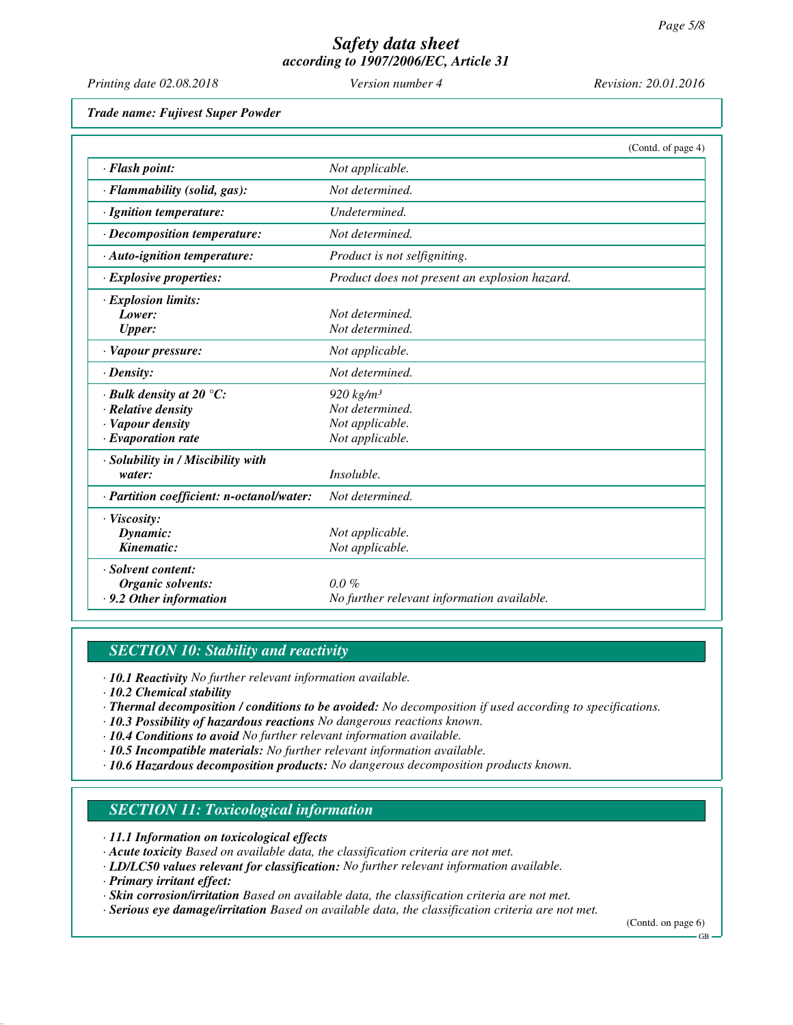| Printing date 02.08.2018                                                                                      | Version number 4                                                     | Revision: 20.01.2016 |
|---------------------------------------------------------------------------------------------------------------|----------------------------------------------------------------------|----------------------|
| <b>Trade name: Fujivest Super Powder</b>                                                                      |                                                                      |                      |
|                                                                                                               |                                                                      | (Contd. of page 4)   |
| · Flash point:                                                                                                | Not applicable.                                                      |                      |
| · Flammability (solid, gas):                                                                                  | Not determined.                                                      |                      |
| · Ignition temperature:                                                                                       | Undetermined.                                                        |                      |
| · Decomposition temperature:                                                                                  | Not determined.                                                      |                      |
| · Auto-ignition temperature:                                                                                  | Product is not selfigniting.                                         |                      |
| · Explosive properties:                                                                                       | Product does not present an explosion hazard.                        |                      |
| · Explosion limits:<br>Lower:<br><b>Upper:</b>                                                                | Not determined.<br>Not determined.                                   |                      |
| · Vapour pressure:                                                                                            | Not applicable.                                                      |                      |
| $\cdot$ Density:                                                                                              | Not determined.                                                      |                      |
| $\cdot$ Bulk density at 20 $\degree$ C:<br>· Relative density<br>· Vapour density<br>$\cdot$ Evaporation rate | 920 $kg/m3$<br>Not determined.<br>Not applicable.<br>Not applicable. |                      |
| · Solubility in / Miscibility with<br>water:                                                                  | Insoluble.                                                           |                      |
| · Partition coefficient: n-octanol/water:                                                                     | Not determined.                                                      |                      |
| · Viscosity:<br>Dynamic:<br>Kinematic:                                                                        | Not applicable.<br>Not applicable.                                   |                      |
| · Solvent content:<br>Organic solvents:<br>.9.2 Other information                                             | $0.0\%$<br>No further relevant information available.                |                      |

## *SECTION 10: Stability and reactivity*

*· 10.1 Reactivity No further relevant information available.*

*· 10.2 Chemical stability*

- *· Thermal decomposition / conditions to be avoided: No decomposition if used according to specifications.*
- *· 10.3 Possibility of hazardous reactions No dangerous reactions known.*
- *· 10.4 Conditions to avoid No further relevant information available.*
- *· 10.5 Incompatible materials: No further relevant information available.*
- *· 10.6 Hazardous decomposition products: No dangerous decomposition products known.*

### *SECTION 11: Toxicological information*

*· 11.1 Information on toxicological effects*

- *· Acute toxicity Based on available data, the classification criteria are not met.*
- *· LD/LC50 values relevant for classification: No further relevant information available.*
- *· Primary irritant effect:*
- *· Skin corrosion/irritation Based on available data, the classification criteria are not met.*
- *· Serious eye damage/irritation Based on available data, the classification criteria are not met.*

(Contd. on page 6) GB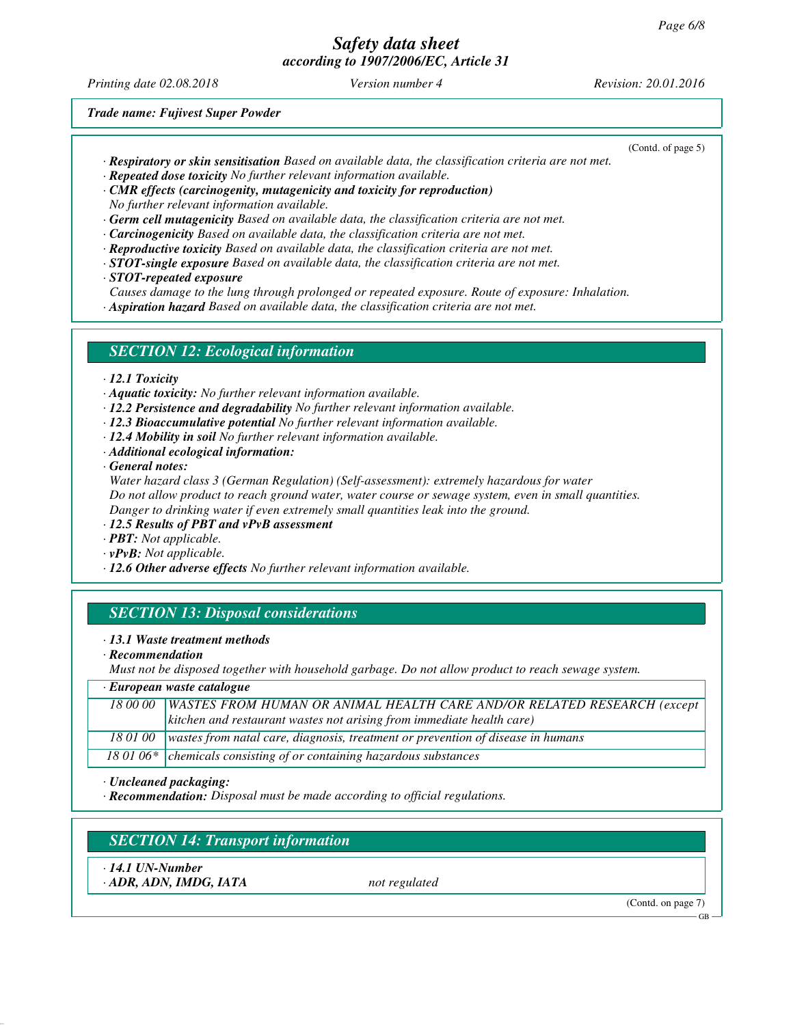*Printing date 02.08.2018 Version number 4 Revision: 20.01.2016*

(Contd. of page 5)

*Trade name: Fujivest Super Powder*

- *· Respiratory or skin sensitisation Based on available data, the classification criteria are not met.*
- *· Repeated dose toxicity No further relevant information available.*
- *· CMR effects (carcinogenity, mutagenicity and toxicity for reproduction) No further relevant information available.*
- *· Germ cell mutagenicity Based on available data, the classification criteria are not met.*
- *· Carcinogenicity Based on available data, the classification criteria are not met.*
- *· Reproductive toxicity Based on available data, the classification criteria are not met.*
- *· STOT-single exposure Based on available data, the classification criteria are not met. · STOT-repeated exposure*
- *Causes damage to the lung through prolonged or repeated exposure. Route of exposure: Inhalation.*
- *· Aspiration hazard Based on available data, the classification criteria are not met.*

### *SECTION 12: Ecological information*

- *· 12.1 Toxicity*
- *· Aquatic toxicity: No further relevant information available.*
- *· 12.2 Persistence and degradability No further relevant information available.*
- *· 12.3 Bioaccumulative potential No further relevant information available.*
- *· 12.4 Mobility in soil No further relevant information available.*
- *· Additional ecological information:*
- *· General notes:*

*Water hazard class 3 (German Regulation) (Self-assessment): extremely hazardous for water Do not allow product to reach ground water, water course or sewage system, even in small quantities. Danger to drinking water if even extremely small quantities leak into the ground.*

- *· 12.5 Results of PBT and vPvB assessment*
- *· PBT: Not applicable.*
- *· vPvB: Not applicable.*
- *· 12.6 Other adverse effects No further relevant information available.*

## *SECTION 13: Disposal considerations*

#### *· 13.1 Waste treatment methods*

*· Recommendation*

*Must not be disposed together with household garbage. Do not allow product to reach sewage system.*

| $\cdot$ European waste catalogue |                                                                                    |  |  |
|----------------------------------|------------------------------------------------------------------------------------|--|--|
|                                  | 18 00 00   WASTES FROM HUMAN OR ANIMAL HEALTH CARE AND/OR RELATED RESEARCH (except |  |  |
|                                  | kitchen and restaurant wastes not arising from immediate health care)              |  |  |
| 18 01 00                         | wastes from natal care, diagnosis, treatment or prevention of disease in humans    |  |  |
|                                  | 18 01 06* $\vert$ chemicals consisting of or containing hazardous substances       |  |  |

*· Uncleaned packaging:*

*· Recommendation: Disposal must be made according to official regulations.*

*SECTION 14: Transport information*

*· 14.1 UN-Number · ADR, ADN, IMDG, IATA not regulated*

(Contd. on page 7)

GB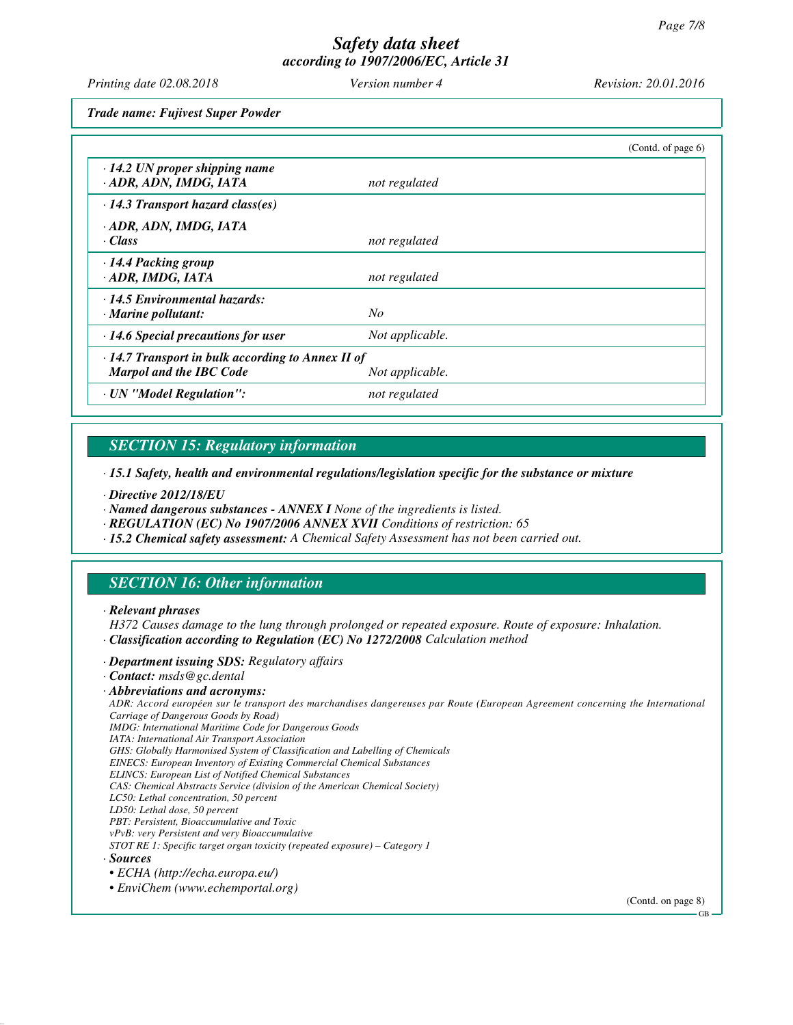*Printing date 02.08.2018 Version number 4 Revision: 20.01.2016*

*Trade name: Fujivest Super Powder*

|                                                                                           |                 | (Contd. of page $6$ ) |
|-------------------------------------------------------------------------------------------|-----------------|-----------------------|
| $\cdot$ 14.2 UN proper shipping name<br>· ADR, ADN, IMDG, IATA                            | not regulated   |                       |
| $\cdot$ 14.3 Transport hazard class(es)                                                   |                 |                       |
| · ADR, ADN, IMDG, IATA<br>· Class                                                         | not regulated   |                       |
| · 14.4 Packing group<br>ADR, IMDG, IATA                                                   | not regulated   |                       |
| · 14.5 Environmental hazards:<br>$\cdot$ Marine pollutant:                                | No              |                       |
| $\cdot$ 14.6 Special precautions for user                                                 | Not applicable. |                       |
| $\cdot$ 14.7 Transport in bulk according to Annex II of<br><b>Marpol and the IBC Code</b> | Not applicable. |                       |
| · UN "Model Regulation":                                                                  | not regulated   |                       |

# *SECTION 15: Regulatory information*

*· 15.1 Safety, health and environmental regulations/legislation specific for the substance or mixture*

*· Directive 2012/18/EU*

*· Named dangerous substances - ANNEX I None of the ingredients is listed.*

*· REGULATION (EC) No 1907/2006 ANNEX XVII Conditions of restriction: 65*

*· 15.2 Chemical safety assessment: A Chemical Safety Assessment has not been carried out.*

## *SECTION 16: Other information*

#### *· Relevant phrases*

*H372 Causes damage to the lung through prolonged or repeated exposure. Route of exposure: Inhalation. · Classification according to Regulation (EC) No 1272/2008 Calculation method*

#### *· Department issuing SDS: Regulatory affairs*

*· Contact: msds@gc.dental*

#### *· Abbreviations and acronyms:*

*ADR: Accord européen sur le transport des marchandises dangereuses par Route (European Agreement concerning the International Carriage of Dangerous Goods by Road)*

*IMDG: International Maritime Code for Dangerous Goods*

*IATA: International Air Transport Association*

*GHS: Globally Harmonised System of Classification and Labelling of Chemicals*

*EINECS: European Inventory of Existing Commercial Chemical Substances*

*ELINCS: European List of Notified Chemical Substances*

*CAS: Chemical Abstracts Service (division of the American Chemical Society)*

*LC50: Lethal concentration, 50 percent LD50: Lethal dose, 50 percent*

*PBT: Persistent, Bioaccumulative and Toxic*

*vPvB: very Persistent and very Bioaccumulative*

*STOT RE 1: Specific target organ toxicity (repeated exposure) – Category 1*

*· Sources*

*• ECHA (http://echa.europa.eu/)*

*• EnviChem (www.echemportal.org)*

(Contd. on page 8)

GB